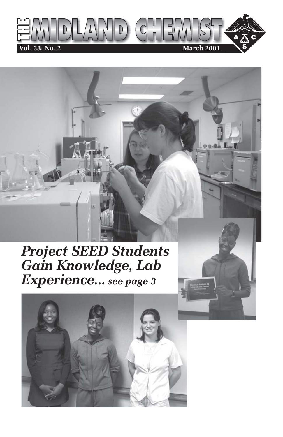

# *Project SEED Students Gain Knowledge, Lab Experience... see page 3*

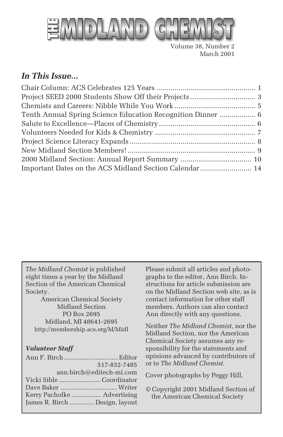

Volume 38, Number 2 March 2001

#### *In This Issue...*

| Tenth Annual Spring Science Education Recognition Dinner  6 |  |
|-------------------------------------------------------------|--|
|                                                             |  |
|                                                             |  |
|                                                             |  |
|                                                             |  |
|                                                             |  |
| Important Dates on the ACS Midland Section Calendar  14     |  |

*The Midland Chemist* is published eight times a year by the Midland Section of the American Chemical Society.

American Chemical Society Midland Section PO Box 2695 Midland, MI 48641-2695 http://membership.acs.org/M/Midl

#### *Volunteer Staff*

|                                | 517-832-7485             |
|--------------------------------|--------------------------|
|                                | ann.birch@editech-mi.com |
| Vicki Sible Coordinator        |                          |
|                                |                          |
| Kerry Pacholke  Advertising    |                          |
| James R. Birch  Design, layout |                          |

Please submit all articles and photographs to the editor, Ann Birch. Instructions for article submission are on the Midland Section web site, as is contact information for other staff members. Authors can also contact Ann directly with any questions.

Neither *The Midland Chemist*, nor the Midland Section, nor the American Chemical Society assumes any responsibility for the statements and opinions advanced by contributors of or to *The Midland Chemist*.

Cover photographs by Peggy Hill.

© Copyright 2001 Midland Section of the American Chemical Society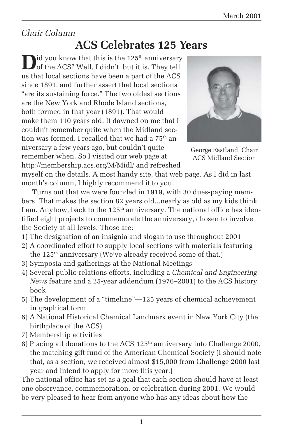### *Chair Column*

# **ACS Celebrates 125 Years**

 $\mathbf{I}$ id you know that this is the 125<sup>th</sup> anniversary of the ACS? Well, I didn't, but it is. They tell us that local sections have been a part of the ACS since 1891, and further assert that local sections "are its sustaining force." The two oldest sections are the New York and Rhode Island sections, both formed in that year (1891). That would make them 110 years old. It dawned on me that I couldn't remember quite when the Midland section was formed. I recalled that we had a 75 $^{\rm th}$  anniversary a few years ago, but couldn't quite remember when. So I visited our web page at http://membership.acs.org/M/Midl/ and refreshed



George Eastland, Chair ACS Midland Section

myself on the details. A most handy site, that web page. As I did in last month's column, I highly recommend it to you.

Turns out that we were founded in 1919, with 30 dues-paying members. That makes the section 82 years old...nearly as old as my kids think I am. Anyhow, back to the 125<sup>th</sup> anniversary. The national office has identified eight projects to commemorate the anniversary, chosen to involve the Society at all levels. Those are:

- 1) The designation of an insignia and slogan to use throughout 2001
- 2) A coordinated effort to supply local sections with materials featuring the 125<sup>th</sup> anniversary (We've already received some of that.)
- 3) Symposia and gatherings at the National Meetings
- 4) Several public-relations efforts, including a *Chemical and Engineering News* feature and a 25-year addendum (1976–2001) to the ACS history book
- 5) The development of a "timeline"—125 years of chemical achievement in graphical form
- 6) A National Historical Chemical Landmark event in New York City (the birthplace of the ACS)
- 7) Membership activities
- 8) Placing all donations to the ACS  $125<sup>th</sup>$  anniversary into Challenge 2000, the matching gift fund of the American Chemical Society (I should note that, as a section, we received almost \$15,000 from Challenge 2000 last year and intend to apply for more this year.)

The national office has set as a goal that each section should have at least one observance, commemoration, or celebration during 2001. We would be very pleased to hear from anyone who has any ideas about how the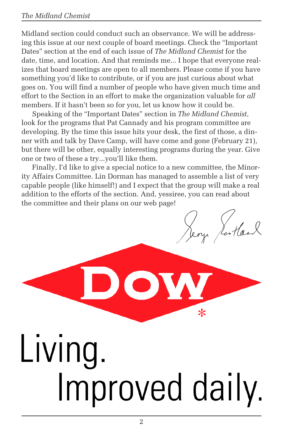#### *The Midland Chemist*

Midland section could conduct such an observance. We will be addressing this issue at our next couple of board meetings. Check the "Important Dates" section at the end of each issue of *The Midland Chemist* for the date, time, and location. And that reminds me... I hope that everyone realizes that board meetings are open to all members. Please come if you have something you'd like to contribute, or if you are just curious about what goes on. You will find a number of people who have given much time and effort to the Section in an effort to make the organization valuable for *all* members. If it hasn't been so for you, let us know how it could be.

Speaking of the "Important Dates" section in *The Midland Chemist*, look for the programs that Pat Cannady and his program committee are developing. By the time this issue hits your desk, the first of those, a dinner with and talk by Dave Camp, will have come and gone (February 21), but there will be other, equally interesting programs during the year. Give one or two of these a try...you'll like them.

Finally, I'd like to give a special notice to a new committee, the Minority Affairs Committee. Lin Dorman has managed to assemble a list of very capable people (like himself!) and I expect that the group will make a real addition to the efforts of the section. And, yessiree, you can read about the committee and their plans on our web page!

ou Scotland

 $\ast$ 

# Living. Improved daily.

OW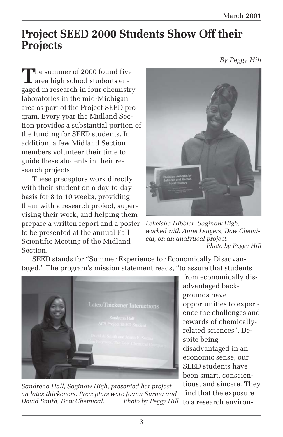# **Project SEED 2000 Students Show Off their Projects**

*By Peggy Hill*

**T**he summer of 2000 found five area high school students engaged in research in four chemistry laboratories in the mid-Michigan area as part of the Project SEED program. Every year the Midland Section provides a substantial portion of the funding for SEED students. In addition, a few Midland Section members volunteer their time to guide these students in their research projects.

These preceptors work directly with their student on a day-to-day basis for 8 to 10 weeks, providing them with a research project, supervising their work, and helping them prepare a written report and a poster to be presented at the annual Fall Scientific Meeting of the Midland Section.



*Lekeisha Hibbler, Saginaw High, worked with Anne Leugers, Dow Chemical, on an analytical project. Photo by Peggy Hill*

SEED stands for "Summer Experience for Economically Disadvantaged." The program's mission statement reads, "to assure that students



*Sandrena Hall, Saginaw High, presented her project on latex thickeners. Preceptors were Joann Surma and David Smith, Dow Chemical.* 

from economically disadvantaged backgrounds have opportunities to experience the challenges and rewards of chemicallyrelated sciences". Despite being disadvantaged in an economic sense, our SEED students have been smart, conscientious, and sincere. They find that the exposure Photo by Peggy Hill to a research environ-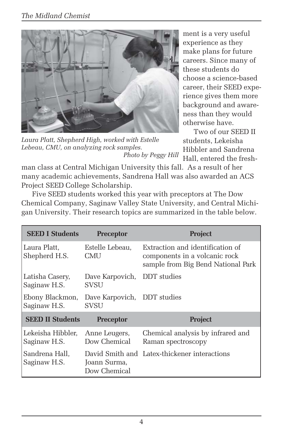

*Laura Platt, Shepherd High, worked with Estelle Lebeau, CMU, on analyzing rock samples. Photo by Peggy Hill*

ment is a very useful experience as they make plans for future careers. Since many of these students do choose a science-based career, their SEED experience gives them more background and awareness than they would otherwise have.

Two of our SEED II students, Lekeisha Hibbler and Sandrena Hall, entered the fresh-

man class at Central Michigan University this fall. As a result of her many academic achievements, Sandrena Hall was also awarded an ACS Project SEED College Scholarship.

Five SEED students worked this year with preceptors at The Dow Chemical Company, Saginaw Valley State University, and Central Michigan University. Their research topics are summarized in the table below.

| <b>SEED I Students</b>            | <b>Preceptor</b>                           | <b>Project</b>                                                                                          |
|-----------------------------------|--------------------------------------------|---------------------------------------------------------------------------------------------------------|
| Laura Platt.<br>Shepherd H.S.     | Estelle Lebeau,<br><b>CMU</b>              | Extraction and identification of<br>components in a volcanic rock<br>sample from Big Bend National Park |
| Latisha Casery,<br>Saginaw H.S.   | Dave Karpovich, DDT studies<br><b>SVSU</b> |                                                                                                         |
| Ebony Blackmon,<br>Saginaw H.S.   | Dave Karpovich, DDT studies<br>SVSU        |                                                                                                         |
| <b>SEED II Students</b>           | <b>Preceptor</b>                           | <b>Project</b>                                                                                          |
| Lekeisha Hibbler,<br>Saginaw H.S. | Anne Leugers,<br>Dow Chemical              | Chemical analysis by infrared and<br>Raman spectroscopy                                                 |
| Sandrena Hall.<br>Saginaw H.S.    | Joann Surma,<br>Dow Chemical               | David Smith and Latex-thickener interactions                                                            |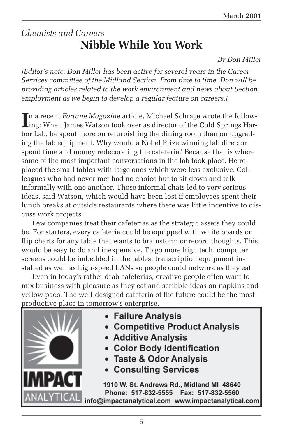## *Chemists and Careers* **Nibble While You Work**

*By Don Miller*

*[Editor's note: Don Miller has been active for several years in the Career Services committee of the Midland Section. From time to time, Don will be providing articles related to the work environment and news about Section employment as we begin to develop a regular feature on careers.]*

In a recent *Fortune Magazine* article, Michael Schrage wrote the following: When James Watson took over as director of the Cold Springs Harn a recent *Fortune Magazine* article, Michael Schrage wrote the followbor Lab, he spent more on refurbishing the dining room than on upgrading the lab equipment. Why would a Nobel Prize winning lab director spend time and money redecorating the cafeteria? Because that is where some of the most important conversations in the lab took place. He replaced the small tables with large ones which were less exclusive. Colleagues who had never met had no choice but to sit down and talk informally with one another. Those informal chats led to very serious ideas, said Watson, which would have been lost if employees spent their lunch breaks at outside restaurants where there was little incentive to discuss work projects.

Few companies treat their cafeterias as the strategic assets they could be. For starters, every cafeteria could be equipped with white boards or flip charts for any table that wants to brainstorm or record thoughts. This would be easy to do and inexpensive. To go more high tech, computer screens could be imbedded in the tables, transcription equipment installed as well as high-speed LANs so people could network as they eat.

Even in today's rather drab cafeterias, creative people often want to mix business with pleasure as they eat and scribble ideas on napkins and yellow pads. The well-designed cafeteria of the future could be the most productive place in tomorrow's enterprise.



- Failure Analysis
- Competitive Product Analysis
- Additive Analysis
- Color Body Identification
- Taste & Odor Analysis
- Consulting Services

1910 W. St. Andrews Rd., Midland MI 48640 Phone: 517-832-5555 Fax: 517-832-5560 info@impactanalytical.com www.impactanalytical.com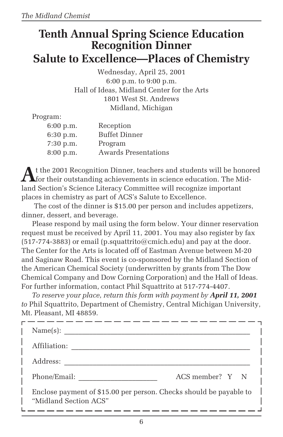# **Tenth Annual Spring Science Education Recognition Dinner Salute to Excellence—Places of Chemistry**

Wednesday, April 25, 2001 6:00 p.m. to 9:00 p.m. Hall of Ideas, Midland Center for the Arts 1801 West St. Andrews Midland, Michigan

Program:

| 6:00 p.m. | Reception                   |
|-----------|-----------------------------|
| 6:30 p.m. | <b>Buffet Dinner</b>        |
| 7:30 p.m. | Program                     |
| 8:00 p.m. | <b>Awards Presentations</b> |

**A**t the 2001 Recognition Dinner, teachers and students will be honored for their outstanding achievements in science education. The Midland Section's Science Literacy Committee will recognize important places in chemistry as part of ACS's Salute to Excellence.

 The cost of the dinner is \$15.00 per person and includes appetizers, dinner, dessert, and beverage.

Please respond by mail using the form below. Your dinner reservation request must be received by April 11, 2001. You may also register by fax  $(517-774-3883)$  or email  $(p.\text{equattribute}(\textcircled{a})$  and pay at the door. The Center for the Arts is located off of Eastman Avenue between M-20 and Saginaw Road. This event is co-sponsored by the Midland Section of the American Chemical Society (underwritten by grants from The Dow Chemical Company and Dow Corning Corporation) and the Hall of Ideas. For further information, contact Phil Squattrito at 517-774-4407.

*To reserve your place, return this form with payment by April 11, 2001 to* Phil Squattrito, Department of Chemistry, Central Michigan University, Mt. Pleasant, MI 48859.

| Name(s):                                                                                    |
|---------------------------------------------------------------------------------------------|
| Affiliation:                                                                                |
| Address:                                                                                    |
| ACS member? Y N<br>Phone/Email:                                                             |
| Enclose payment of \$15.00 per person. Checks should be payable to<br>"Midland Section ACS" |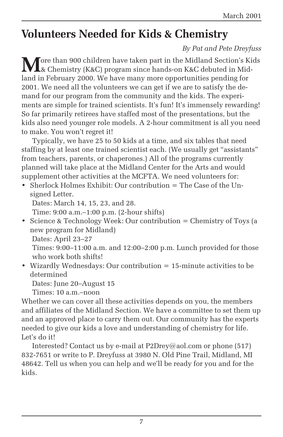# **Volunteers Needed for Kids & Chemistry**

#### *By Pat and Pete Dreyfuss*

**M** ore than 900 children have taken part in the Midland Section's Kids & Chemistry (K&C) program since hands-on K&C debuted in Midland in February 2000. We have many more opportunities pending for 2001. We need all the volunteers we can get if we are to satisfy the demand for our program from the community and the kids. The experiments are simple for trained scientists. It's fun! It's immensely rewarding! So far primarily retirees have staffed most of the presentations, but the kids also need younger role models. A 2-hour commitment is all you need to make. You won't regret it!

Typically, we have 25 to 50 kids at a time, and six tables that need staffing by at least one trained scientist each. (We usually get "assistants" from teachers, parents, or chaperones.) All of the programs currently planned will take place at the Midland Center for the Arts and would supplement other activities at the MCFTA. We need volunteers for:

• Sherlock Holmes Exhibit: Our contribution  $=$  The Case of the Unsigned Letter.

Dates: March 14, 15, 23, and 28.

Time: 9:00 a.m.–1:00 p.m. (2-hour shifts)

• Science & Technology Week: Our contribution = Chemistry of Toys (a new program for Midland)

Dates: April 23–27

Times: 9:00–11:00 a.m. and 12:00–2:00 p.m. Lunch provided for those who work both shifts!

• Wizardly Wednesdays: Our contribution = 15-minute activities to be determined

Dates: June 20–August 15

Times: 10 a.m.–noon

Whether we can cover all these activities depends on you, the members and affiliates of the Midland Section. We have a committee to set them up and an approved place to carry them out. Our community has the experts needed to give our kids a love and understanding of chemistry for life. Let's do it!

Interested? Contact us by e-mail at P2Drey@aol.com or phone (517) 832-7651 or write to P. Dreyfuss at 3980 N. Old Pine Trail, Midland, MI 48642. Tell us when you can help and we'll be ready for you and for the kids.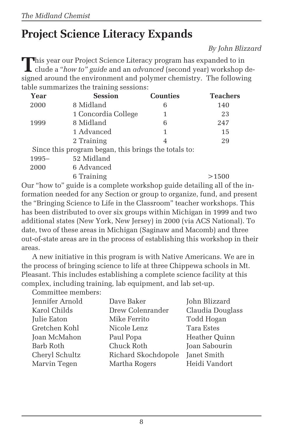# **Project Science Literacy Expands**

*By John Blizzard*

This year our Project Science Literacy program has expanded to in clude a "*how to" guide* and an *advanced* (second year) workshop designed around the environment and polymer chemistry. The following table summarizes the training sessions:

| Year     | <b>Session</b>                                       | <b>Counties</b> | <b>Teachers</b> |
|----------|------------------------------------------------------|-----------------|-----------------|
| 2000     | 8 Midland                                            | 6               | 140             |
|          | 1 Concordia College                                  | 1               | 23              |
| 1999     | 8 Midland                                            | 6               | 247             |
|          | 1 Advanced                                           | 1               | 15              |
|          | 2 Training                                           | 4               | 29              |
|          | Since this program began, this brings the totals to: |                 |                 |
| $1995 -$ | 52 Midland                                           |                 |                 |
| 2000     | 6 Advanced                                           |                 |                 |

6 Training >1500 Our "how to" guide is a complete workshop guide detailing all of the information needed for any Section or group to organize, fund, and present the "Bringing Science to Life in the Classroom" teacher workshops. This has been distributed to over six groups within Michigan in 1999 and two additional states (New York, New Jersey) in 2000 (via ACS National). To date, two of these areas in Michigan (Saginaw and Macomb) and three out-of-state areas are in the process of establishing this workshop in their areas.

A new initiative in this program is with Native Americans. We are in the process of bringing science to life at three Chippewa schools in Mt. Pleasant. This includes establishing a complete science facility at this complex, including training, lab equipment, and lab set-up. Committee members:

| OUMMILLED MONDO: |                     |                  |
|------------------|---------------------|------------------|
| Jennifer Arnold  | Dave Baker          | John Blizzard    |
| Karol Childs     | Drew Colenrander    | Claudia Douglass |
| Julie Eaton      | Mike Ferrito        | Todd Hogan       |
| Gretchen Kohl    | Nicole Lenz         | Tara Estes       |
| Joan McMahon     | Paul Popa           | Heather Quinn    |
| Barb Roth        | Chuck Roth          | Joan Sabourin    |
| Cheryl Schultz   | Richard Skochdopole | Janet Smith      |
| Marvin Tegen     | Martha Rogers       | Heidi Vandort    |
|                  |                     |                  |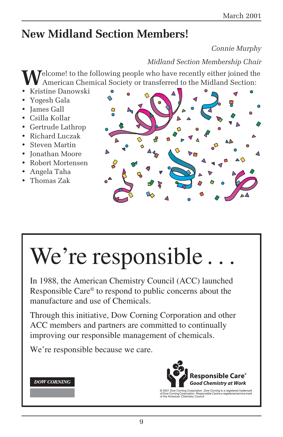# **New Midland Section Members!**

#### *Connie Murphy*

#### *Midland Section Membership Chair*

Welcome! to the following people who have recently either joined the American Chemical Society or transferred to the Midland Section:

- Kristine Danowski
- Yogesh Gala
- James Gall
- Csilla Kollar
- Gertrude Lathrop
- Richard Luczak
- Steven Martin
- Jonathan Moore
- Robert Mortensen
- Angela Taha
- Thomas Zak



# We're responsible.

In 1988, the American Chemistry Council (ACC) launched Responsible Care® to respond to public concerns about the manufacture and use of Chemicals.

Through this initiative, Dow Corning Corporation and other ACC members and partners are committed to continually improving our responsible management of chemicals.

We're responsible because we care.

#### **DOW CORNING**



© 2001 Dow Corning Corporation. *Dow Corning* is a registered trademark<br>of Dow Corning Corporation. *Responsible Care* is a registered service mark<br>of the American Chemistry Council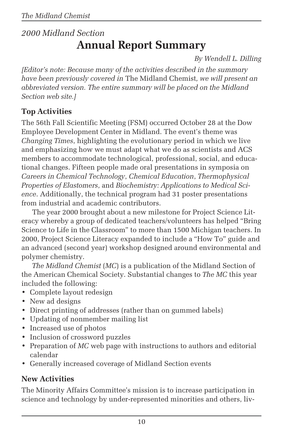# *2000 Midland Section* **Annual Report Summary**

*By Wendell L. Dilling*

*[Editor's note: Because many of the activities described in the summary have been previously covered in* The Midland Chemist*, we will present an abbreviated version. The entire summary will be placed on the Midland Section web site.]*

#### **Top Activities**

The 56th Fall Scientific Meeting (FSM) occurred October 28 at the Dow Employee Development Center in Midland. The event's theme was *Changing Times*, highlighting the evolutionary period in which we live and emphasizing how we must adapt what we do as scientists and ACS members to accommodate technological, professional, social, and educational changes. Fifteen people made oral presentations in symposia on *Careers in Chemical Technology*, *Chemical Education*, *Thermophysical Properties of Elastomers*, and *Biochemistry: Applications to Medical Science*. Additionally, the technical program had 31 poster presentations from industrial and academic contributors.

The year 2000 brought about a new milestone for Project Science Literacy whereby a group of dedicated teachers/volunteers has helped "Bring Science to Life in the Classroom" to more than 1500 Michigan teachers. In 2000, Project Science Literacy expanded to include a "How To" guide and an advanced (second year) workshop designed around environmental and polymer chemistry.

*The Midland Chemist* (*MC*) is a publication of the Midland Section of the American Chemical Society. Substantial changes to *The MC* this year included the following:

- Complete layout redesign
- New ad designs
- Direct printing of addresses (rather than on gummed labels)
- Updating of nonmember mailing list
- Increased use of photos
- Inclusion of crossword puzzles
- Preparation of *MC* web page with instructions to authors and editorial calendar
- Generally increased coverage of Midland Section events

#### **New Activities**

The Minority Affairs Committee's mission is to increase participation in science and technology by under-represented minorities and others, liv-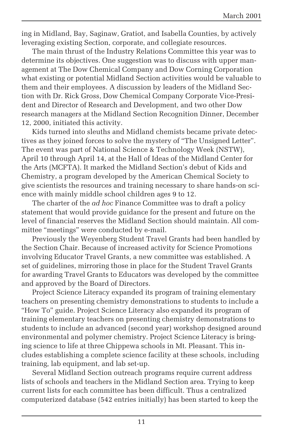ing in Midland, Bay, Saginaw, Gratiot, and Isabella Counties, by actively leveraging existing Section, corporate, and collegiate resources.

The main thrust of the Industry Relations Committee this year was to determine its objectives. One suggestion was to discuss with upper management at The Dow Chemical Company and Dow Corning Corporation what existing or potential Midland Section activities would be valuable to them and their employees. A discussion by leaders of the Midland Section with Dr. Rick Gross, Dow Chemical Company Corporate Vice-President and Director of Research and Development, and two other Dow research managers at the Midland Section Recognition Dinner, December 12, 2000, initiated this activity.

Kids turned into sleuths and Midland chemists became private detectives as they joined forces to solve the mystery of "The Unsigned Letter". The event was part of National Science & Technology Week (NSTW), April 10 through April 14, at the Hall of Ideas of the Midland Center for the Arts (MCFTA). It marked the Midland Section's debut of Kids and Chemistry, a program developed by the American Chemical Society to give scientists the resources and training necessary to share hands-on science with mainly middle school children ages 9 to 12.

The charter of the *ad hoc* Finance Committee was to draft a policy statement that would provide guidance for the present and future on the level of financial reserves the Midland Section should maintain. All committee "meetings" were conducted by e-mail.

Previously the Weyenberg Student Travel Grants had been handled by the Section Chair. Because of increased activity for Science Promotions involving Educator Travel Grants, a new committee was established. A set of guidelines, mirroring those in place for the Student Travel Grants for awarding Travel Grants to Educators was developed by the committee and approved by the Board of Directors.

Project Science Literacy expanded its program of training elementary teachers on presenting chemistry demonstrations to students to include a "How To" guide. Project Science Literacy also expanded its program of training elementary teachers on presenting chemistry demonstrations to students to include an advanced (second year) workshop designed around environmental and polymer chemistry. Project Science Literacy is bringing science to life at three Chippewa schools in Mt. Pleasant. This includes establishing a complete science facility at these schools, including training, lab equipment, and lab set-up.

Several Midland Section outreach programs require current address lists of schools and teachers in the Midland Section area. Trying to keep current lists for each committee has been difficult. Thus a centralized computerized database (542 entries initially) has been started to keep the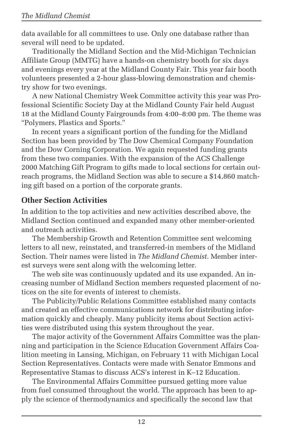data available for all committees to use. Only one database rather than several will need to be updated.

Traditionally the Midland Section and the Mid-Michigan Technician Affiliate Group (MMTG) have a hands-on chemistry booth for six days and evenings every year at the Midland County Fair. This year fair booth volunteers presented a 2-hour glass-blowing demonstration and chemistry show for two evenings.

A new National Chemistry Week Committee activity this year was Professional Scientific Society Day at the Midland County Fair held August 18 at the Midland County Fairgrounds from 4:00–8:00 pm. The theme was "Polymers, Plastics and Sports."

In recent years a significant portion of the funding for the Midland Section has been provided by The Dow Chemical Company Foundation and the Dow Corning Corporation. We again requested funding grants from these two companies. With the expansion of the ACS Challenge 2000 Matching Gift Program to gifts made to local sections for certain outreach programs, the Midland Section was able to secure a \$14,860 matching gift based on a portion of the corporate grants.

#### **Other Section Activities**

In addition to the top activities and new activities described above, the Midland Section continued and expanded many other member-oriented and outreach activities.

The Membership Growth and Retention Committee sent welcoming letters to all new, reinstated, and transferred-in members of the Midland Section. Their names were listed in *The Midland Chemist*. Member interest surveys were sent along with the welcoming letter.

The web site was continuously updated and its use expanded. An increasing number of Midland Section members requested placement of notices on the site for events of interest to chemists.

The Publicity/Public Relations Committee established many contacts and created an effective communications network for distributing information quickly and cheaply. Many publicity items about Section activities were distributed using this system throughout the year.

The major activity of the Government Affairs Committee was the planning and participation in the Science Education Government Affairs Coalition meeting in Lansing, Michigan, on February 11 with Michigan Local Section Representatives. Contacts were made with Senator Emmons and Representative Stamas to discuss ACS's interest in K–12 Education.

The Environmental Affairs Committee pursued getting more value from fuel consumed throughout the world. The approach has been to apply the science of thermodynamics and specifically the second law that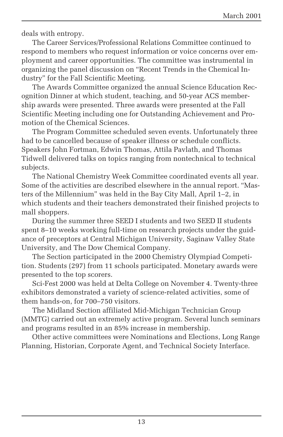deals with entropy.

The Career Services/Professional Relations Committee continued to respond to members who request information or voice concerns over employment and career opportunities. The committee was instrumental in organizing the panel discussion on "Recent Trends in the Chemical Industry" for the Fall Scientific Meeting.

The Awards Committee organized the annual Science Education Recognition Dinner at which student, teaching, and 50-year ACS membership awards were presented. Three awards were presented at the Fall Scientific Meeting including one for Outstanding Achievement and Promotion of the Chemical Sciences.

The Program Committee scheduled seven events. Unfortunately three had to be cancelled because of speaker illness or schedule conflicts. Speakers John Fortman, Edwin Thomas, Attila Pavlath, and Thomas Tidwell delivered talks on topics ranging from nontechnical to technical subjects.

The National Chemistry Week Committee coordinated events all year. Some of the activities are described elsewhere in the annual report. "Masters of the Millennium" was held in the Bay City Mall, April 1–2, in which students and their teachers demonstrated their finished projects to mall shoppers.

During the summer three SEED I students and two SEED II students spent 8–10 weeks working full-time on research projects under the guidance of preceptors at Central Michigan University, Saginaw Valley State University, and The Dow Chemical Company.

The Section participated in the 2000 Chemistry Olympiad Competition. Students (297) from 11 schools participated. Monetary awards were presented to the top scorers.

Sci-Fest 2000 was held at Delta College on November 4. Twenty-three exhibitors demonstrated a variety of science-related activities, some of them hands-on, for 700–750 visitors.

The Midland Section affiliated Mid-Michigan Technician Group (MMTG) carried out an extremely active program. Several lunch seminars and programs resulted in an 85% increase in membership.

Other active committees were Nominations and Elections, Long Range Planning, Historian, Corporate Agent, and Technical Society Interface.